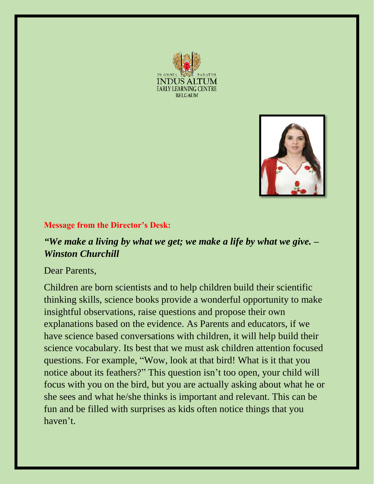



## **Message from the Director's Desk:**

## *"We make a living by what we get; we make a life by what we give. – Winston Churchill*

Dear Parents,

Children are born scientists and to help children build their scientific thinking skills, science books provide a wonderful opportunity to make insightful observations, raise questions and propose their own explanations based on the evidence. As Parents and educators, if we have science based conversations with children, it will help build their science vocabulary. Its best that we must ask children attention focused questions. For example, "Wow, look at that bird! What is it that you notice about its feathers?" This question isn't too open, your child will focus with you on the bird, but you are actually asking about what he or she sees and what he/she thinks is important and relevant. This can be fun and be filled with surprises as kids often notice things that you haven't.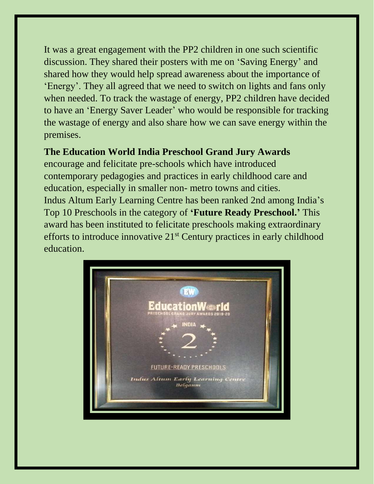It was a great engagement with the PP2 children in one such scientific discussion. They shared their posters with me on 'Saving Energy' and shared how they would help spread awareness about the importance of 'Energy'. They all agreed that we need to switch on lights and fans only when needed. To track the wastage of energy, PP2 children have decided to have an 'Energy Saver Leader' who would be responsible for tracking the wastage of energy and also share how we can save energy within the premises.

## **The Education World India Preschool Grand Jury Awards**

encourage and felicitate pre-schools which have introduced contemporary pedagogies and practices in early childhood care and education, especially in smaller non- metro towns and cities. Indus Altum Early Learning Centre has been ranked 2nd among India's Top 10 Preschools in the category of **'Future Ready Preschool.'** This award has been instituted to felicitate preschools making extraordinary efforts to introduce innovative 21st Century practices in early childhood education.